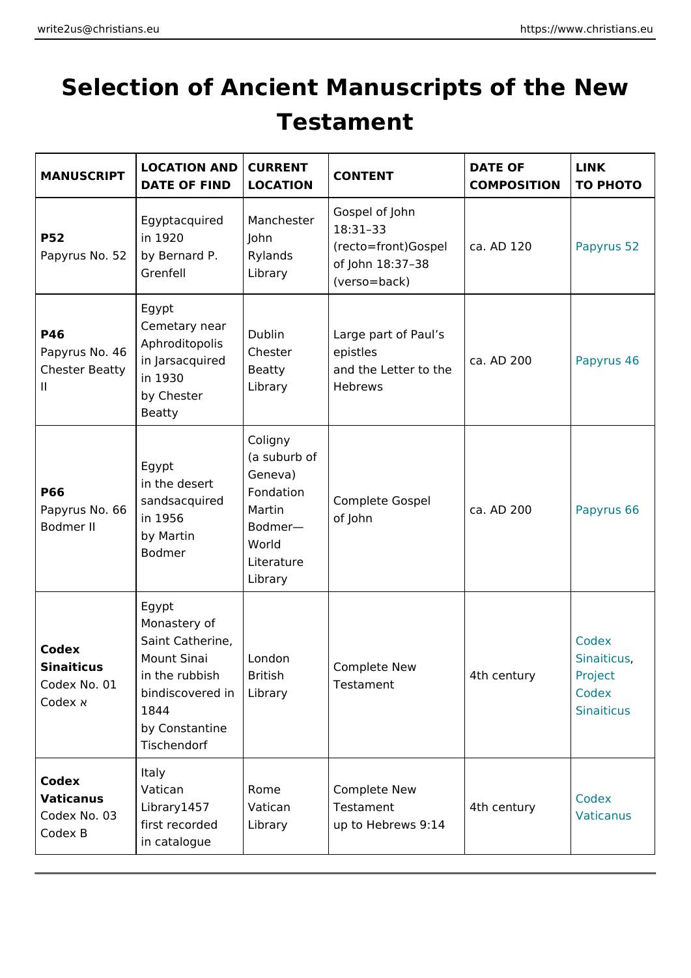## Selection of Ancient Manuscripts of the Testament

| MANUSCRIP                                                       | LOCATION ANCOURRENT<br>DATE OF FINDOCATION                                                                                                                                       |                                                                                                                  | CONTENT                                                                                                     | DATE OF<br>COMPOSITIONO PHOTO | LINK                                                         |
|-----------------------------------------------------------------|----------------------------------------------------------------------------------------------------------------------------------------------------------------------------------|------------------------------------------------------------------------------------------------------------------|-------------------------------------------------------------------------------------------------------------|-------------------------------|--------------------------------------------------------------|
| P 5 2<br>Papyrus No.                                            | $E$ gyptacquired Manchester<br>in 1920<br>b5y2 Bernard P.Rylands<br>Grenfell                                                                                                     | John<br>Library                                                                                                  | Gospel of John<br>18:3133<br>$(recto = front) Go$ \$ pc al. AD 120<br>of John 18:37 3\$<br>$(verso = back)$ |                               | Papyrus 52                                                   |
| P 46<br>Papyrus No<br>Chester Beatty<br>in 1930<br>$\mathbf{H}$ | $E$ g y p t<br>Cemetary near<br>Dublin<br>Aphroditopolis<br>Chester<br>in Jarsacquir<br>by Chester<br>Beatty                                                                     | Beatty<br>Library                                                                                                | Large part of Paul s<br>epistles<br>and the Letter $\frac{1}{10}$ ca. AD 200<br>Hebrews                     |                               | Papyrus 46                                                   |
| P66<br>Papyrus No<br>Bodmer II                                  | Egypt<br>in the deser<br>sandsacquire<br>in 1956<br>by Martin<br>Bodmer                                                                                                          | Coligny<br>$(a \text{suburb}   of$<br>Geneva)<br>Fondation<br>Martin<br>Bodmer<br>World<br>Literature<br>Library | Complete Gospell<br>of John                                                                                 | ca. AD 200                    | Papyrus 66                                                   |
| Codex<br>Sinaiticus<br>Codex No. 0<br>Codex Đ                   | $E$ g y p t<br>Monastery of<br>Saint Catherine,<br>Mount Sinai   London<br>in the rubbis British<br>.<br>bindiscovere dL <b>ib</b> rary<br>1844<br>by Constantine<br>Tischendorf |                                                                                                                  | Complete New<br>Testament                                                                                   | 4 th century                  | Codex<br>Sinaiticus<br>Project<br>Codex<br><b>Sinaiticus</b> |
| Codex<br>Vaticanus<br>Codex No.<br>Codex B                      | ltaly<br>Vatican<br>Library1457<br>first recordedLibrary<br>in catalogue                                                                                                         | Rome<br>Vatican                                                                                                  | Complete New<br>Testament<br>up to Hebrews 9:14                                                             | 4th century                   | Codex<br>Vaticanus                                           |